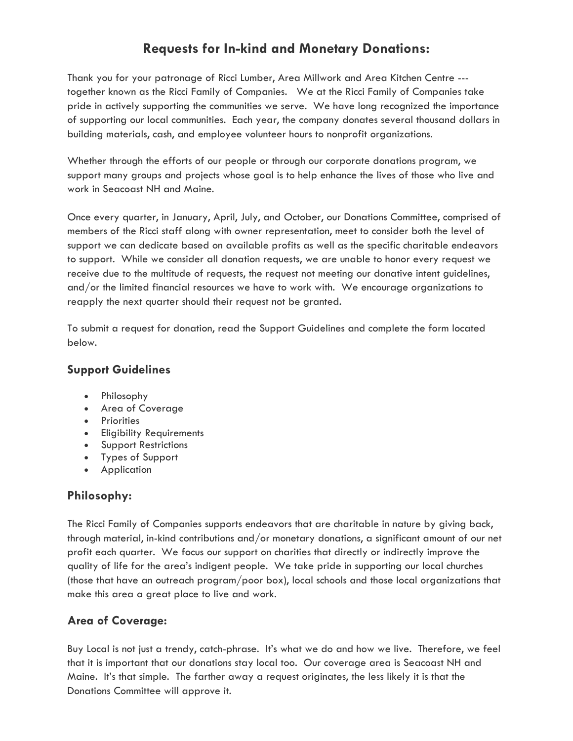# **Requests for In-kind and Monetary Donations:**

Thank you for your patronage of Ricci Lumber, Area Millwork and Area Kitchen Centre -- together known as the Ricci Family of Companies. We at the Ricci Family of Companies take pride in actively supporting the communities we serve. We have long recognized the importance of supporting our local communities. Each year, the company donates several thousand dollars in building materials, cash, and employee volunteer hours to nonprofit organizations.

Whether through the efforts of our people or through our corporate donations program, we support many groups and projects whose goal is to help enhance the lives of those who live and work in Seacoast NH and Maine.

Once every quarter, in January, April, July, and October, our Donations Committee, comprised of members of the Ricci staff along with owner representation, meet to consider both the level of support we can dedicate based on available profits as well as the specific charitable endeavors to support. While we consider all donation requests, we are unable to honor every request we receive due to the multitude of requests, the request not meeting our donative intent guidelines, and/or the limited financial resources we have to work with. We encourage organizations to reapply the next quarter should their request not be granted.

To submit a request for donation, read the Support Guidelines and complete the form located below.

### **Support Guidelines**

- Philosophy
- Area of Coverage
- Priorities
- Eligibility Requirements
- Support Restrictions
- Types of Support
- Application

# **Philosophy:**

The Ricci Family of Companies supports endeavors that are charitable in nature by giving back, through material, in-kind contributions and/or monetary donations, a significant amount of our net profit each quarter. We focus our support on charities that directly or indirectly improve the quality of life for the area's indigent people. We take pride in supporting our local churches (those that have an outreach program/poor box), local schools and those local organizations that make this area a great place to live and work.

#### **Area of Coverage:**

Buy Local is not just a trendy, catch-phrase. It's what we do and how we live. Therefore, we feel that it is important that our donations stay local too. Our coverage area is Seacoast NH and Maine. It's that simple. The farther away a request originates, the less likely it is that the Donations Committee will approve it.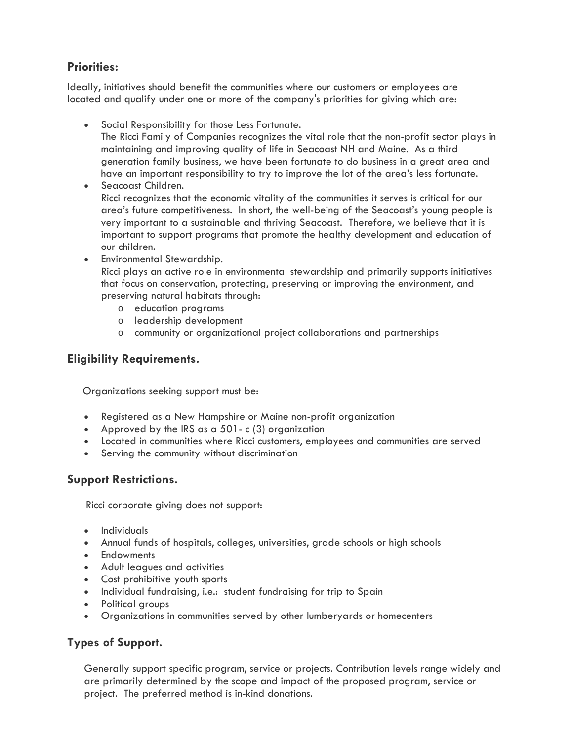## **Priorities:**

Ideally, initiatives should benefit the communities where our customers or employees are located and qualify under one or more of the company's priorities for giving which are:

- Social Responsibility for those Less Fortunate.
	- The Ricci Family of Companies recognizes the vital role that the non-profit sector plays in maintaining and improving quality of life in Seacoast NH and Maine. As a third generation family business, we have been fortunate to do business in a great area and have an important responsibility to try to improve the lot of the area's less fortunate.
- Seacoast Children. Ricci recognizes that the economic vitality of the communities it serves is critical for our area's future competitiveness. In short, the well-being of the Seacoast's young people is very important to a sustainable and thriving Seacoast. Therefore, we believe that it is important to support programs that promote the healthy development and education of our children.
- Environmental Stewardship. Ricci plays an active role in environmental stewardship and primarily supports initiatives that focus on conservation, protecting, preserving or improving the environment, and preserving natural habitats through:
	- o education programs
	- o leadership development
	- o community or organizational project collaborations and partnerships

## **Eligibility Requirements.**

Organizations seeking support must be:

- Registered as a New Hampshire or Maine non-profit organization
- Approved by the IRS as a 501- c (3) organization
- Located in communities where Ricci customers, employees and communities are served
- Serving the community without discrimination

#### **Support Restrictions.**

Ricci corporate giving does not support:

- Individuals
- Annual funds of hospitals, colleges, universities, grade schools or high schools
- Endowments
- Adult leagues and activities
- Cost prohibitive youth sports
- Individual fundraising, i.e.: student fundraising for trip to Spain
- Political groups
- Organizations in communities served by other lumberyards or homecenters

#### **Types of Support.**

Generally support specific program, service or projects. Contribution levels range widely and are primarily determined by the scope and impact of the proposed program, service or project. The preferred method is in-kind donations.